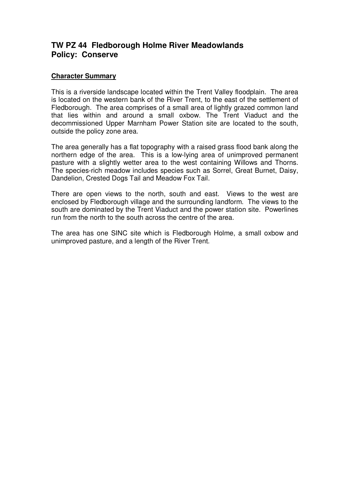# **TW PZ 44 Fledborough Holme River Meadowlands Policy: Conserve**

## **Character Summary**

This is a riverside landscape located within the Trent Valley floodplain. The area is located on the western bank of the River Trent, to the east of the settlement of Fledborough. The area comprises of a small area of lightly grazed common land that lies within and around a small oxbow. The Trent Viaduct and the decommissioned Upper Marnham Power Station site are located to the south, outside the policy zone area.

The area generally has a flat topography with a raised grass flood bank along the northern edge of the area. This is a low-lying area of unimproved permanent pasture with a slightly wetter area to the west containing Willows and Thorns. The species-rich meadow includes species such as Sorrel, Great Burnet, Daisy, Dandelion, Crested Dogs Tail and Meadow Fox Tail.

There are open views to the north, south and east. Views to the west are enclosed by Fledborough village and the surrounding landform. The views to the south are dominated by the Trent Viaduct and the power station site. Powerlines run from the north to the south across the centre of the area.

The area has one SINC site which is Fledborough Holme, a small oxbow and unimproved pasture, and a length of the River Trent.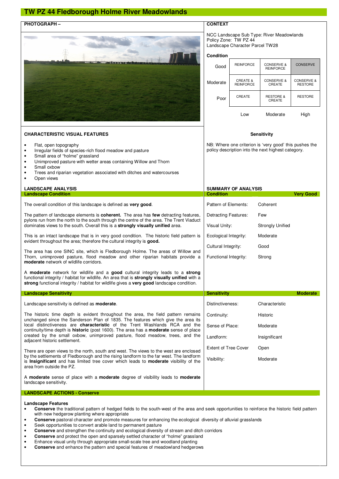## **TW PZ 44 Fledborough Holme River Meadowlands**



NCC Landscape Sub Type: River Meadowlands Policy Zone: TW PZ 44

Landscape Character Parcel TW28

#### **Condition**

| Good     | <b>REINFORCE</b>             | <b>CONSERVE &amp;</b><br><b>REINFORCE</b> | <b>CONSERVE</b>                         |
|----------|------------------------------|-------------------------------------------|-----------------------------------------|
| Moderate | CREATE &<br><b>REINFORCE</b> | <b>CONSERVE &amp;</b><br><b>CREATE</b>    | <b>CONSERVE &amp;</b><br><b>RESTORE</b> |
| Poor     | CREATE                       | <b>RESTORE &amp;</b><br>CREATE            | <b>RESTORE</b>                          |
|          | OW                           | Moderate                                  | Hiah                                    |

**Sensitivity** 

NB: Where one criterion is 'very good' this pushes the policy description into the next highest category.

Visibility: Moderate

#### • Flat, open topography • Irregular fields of species-rich flood meadow and pasture

• Small area of "holme" grassland

**CHARACTERISTIC VISUAL FEATURES** 

- Unimproved pasture with wetter areas containing Willow and Thorn
- Small oxbow
- Trees and riparian vegetation associated with ditches and watercourses Open views
- **LANDSCAPE ANALYSIS SUMMARY OF ANALYSIS Landscape Condition Condition Condition Condition Condition Condition Condition Condition Condition Condition** Pattern of Elements: Coherent Detracting Features: Few Visual Unity: Strongly Unified Ecological Integrity: Moderate Cultural Integrity: Good Functional Integrity: Strong The overall condition of this landscape is defined as **very good**. The pattern of landscape elements is **coherent.** The area has **few** detracting features, pylons run from the north to the south through the centre of the area. The Trent Viaduct dominates views to the south. Overall this is a **strongly visually unified** area. This is an intact landscape that is in very good condition. The historic field pattern is evident throughout the area; therefore the cultural integrity is **good.**  The area has one SINC site, which is Fledborough Holme. The areas of Willow and Thorn, unimproved pasture, flood meadow and other riparian habitats provide a **moderate** network of wildlife corridors. A **moderate** network for wildlife and a **good** cultural integrity leads to a **strong** functional integrity / habitat for wildlife. An area that is **strongly visually unified** with a **strong** functional integrity / habitat for wildlife gives a **very good** landscape condition. **Landscape Sensitivity Moderate According to the Control of Control of Sensitivity Sensitivity Moderate Moderate** Distinctiveness: Characteristic Continuity: Historic Sense of Place: Moderate Landform: Insignificant Extent of Tree Cover Open Landscape sensitivity is defined as **moderate**. The historic time depth is evident throughout the area, the field pattern remains unchanged since the Sanderson Plan of 1835. The features which give the area its local distinctiveness are **characteristic** of the Trent Washlands RCA and the continuity/time depth is **historic** (post 1600). The area has a **moderate** sense of place created by the small oxbow, unimproved pasture, flood meadow, trees, and the adjacent historic settlement.

There are open views to the north, south and west. The views to the west are enclosed by the settlements of Fledborough and the rising landform to the far west. The landform is **Insignificant** and has limited tree cover which leads to **moderate** visibility of the area from outside the PZ.

A **moderate** sense of place with a **moderate** degree of visibility leads to **moderate**  landscape sensitivity.

#### **LANDSCAPE ACTIONS - Conserve**

#### **Landscape Features**

- **Conserve** the traditional pattern of hedged fields to the south-west of the area and seek opportunities to reinforce the historic field pattern with new hedgerow planting where appropriate
- **Conserve** pastoral character and promote measures for enhancing the ecological diversity of alluvial grasslands
- Seek opportunities to convert arable land to permanent pasture
- **Conserve** and strengthen the continuity and ecological diversity of stream and ditch corridors
- **Conserve** and protect the open and sparsely settled character of "holme" grassland
- Enhance visual unity through appropriate small-scale tree and woodland planting
- **Conserve** and enhance the pattern and special features of meadowland hedgerows